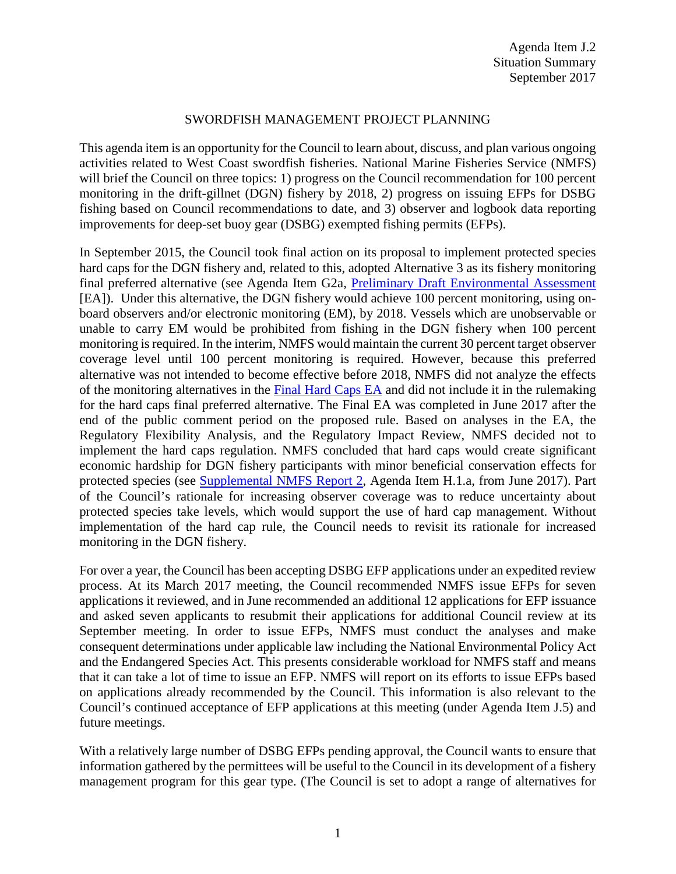## SWORDFISH MANAGEMENT PROJECT PLANNING

This agenda item is an opportunity for the Council to learn about, discuss, and plan various ongoing activities related to West Coast swordfish fisheries. National Marine Fisheries Service (NMFS) will brief the Council on three topics: 1) progress on the Council recommendation for 100 percent monitoring in the drift-gillnet (DGN) fishery by 2018, 2) progress on issuing EFPs for DSBG fishing based on Council recommendations to date, and 3) observer and logbook data reporting improvements for deep-set buoy gear (DSBG) exempted fishing permits (EFPs).

In September 2015, the Council took final action on its proposal to implement protected species hard caps for the DGN fishery and, related to this, adopted Alternative 3 as its fishery monitoring final preferred alternative (see Agenda Item G2a, [Preliminary Draft Environmental Assessment](http://www.pcouncil.org/wp-content/uploads/2015/08/G2a_NMFS_Rpt1_DGN_draftEA_and_metrics_SEPT2015BB.pdf) [EA]). Under this alternative, the DGN fishery would achieve 100 percent monitoring, using onboard observers and/or electronic monitoring (EM), by 2018. Vessels which are unobservable or unable to carry EM would be prohibited from fishing in the DGN fishery when 100 percent monitoring is required. In the interim, NMFS would maintain the current 30 percent target observer coverage level until 100 percent monitoring is required. However, because this preferred alternative was not intended to become effective before 2018, NMFS did not analyze the effects of the monitoring alternatives in the [Final Hard Caps EA](https://www.regulations.gov/contentStreamer?documentId=NOAA-NMFS-2016-0123-0026&contentType=pdf) and did not include it in the rulemaking for the hard caps final preferred alternative. The Final EA was completed in June 2017 after the end of the public comment period on the proposed rule. Based on analyses in the EA, the Regulatory Flexibility Analysis, and the Regulatory Impact Review, NMFS decided not to implement the hard caps regulation. NMFS concluded that hard caps would create significant economic hardship for DGN fishery participants with minor beneficial conservation effects for protected species (see [Supplemental NMFS Report 2,](http://www.pcouncil.org/wp-content/uploads/2017/06/H1a_Sup_NMFS_Rpt2_DGN_Jun2017BB.pdf) Agenda Item H.1.a, from June 2017). Part of the Council's rationale for increasing observer coverage was to reduce uncertainty about protected species take levels, which would support the use of hard cap management. Without implementation of the hard cap rule, the Council needs to revisit its rationale for increased monitoring in the DGN fishery.

For over a year, the Council has been accepting DSBG EFP applications under an expedited review process. At its March 2017 meeting, the Council recommended NMFS issue EFPs for seven applications it reviewed, and in June recommended an additional 12 applications for EFP issuance and asked seven applicants to resubmit their applications for additional Council review at its September meeting. In order to issue EFPs, NMFS must conduct the analyses and make consequent determinations under applicable law including the National Environmental Policy Act and the Endangered Species Act. This presents considerable workload for NMFS staff and means that it can take a lot of time to issue an EFP. NMFS will report on its efforts to issue EFPs based on applications already recommended by the Council. This information is also relevant to the Council's continued acceptance of EFP applications at this meeting (under Agenda Item J.5) and future meetings.

With a relatively large number of DSBG EFPs pending approval, the Council wants to ensure that information gathered by the permittees will be useful to the Council in its development of a fishery management program for this gear type. (The Council is set to adopt a range of alternatives for